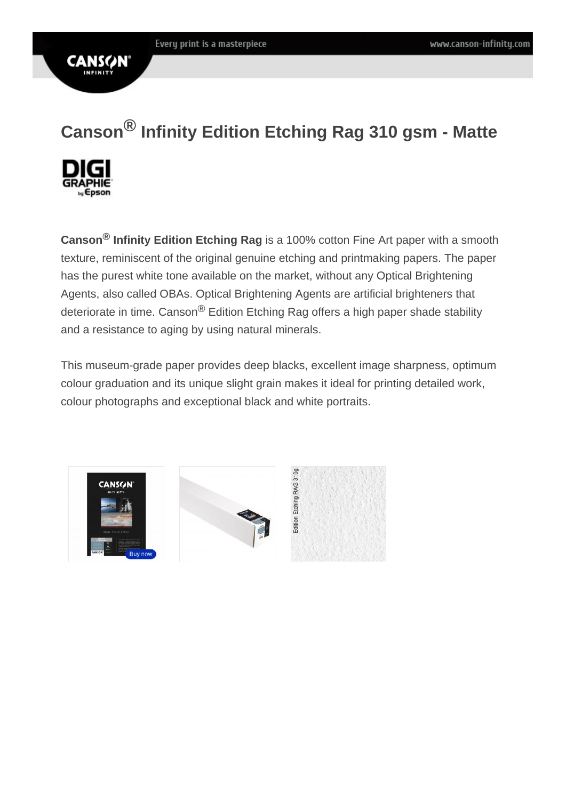# Canson ® Infinity Edition Etching Rag 310 gsm - Matte

Canson ® Infinity Edition Etching Rag is a 100% cotton Fine Art paper with a smooth texture, reminiscent of the original genuine etching and printmaking papers. The paper has the purest white tone available on the market, without any Optical Brightening Agents, also called OBAs. Optical Brightening Agents are artificial brighteners that deteriorate in time. Canson<sup>®</sup> Edition Etching Rag offers a high paper shade stability and a resistance to aging by using natural minerals.

This museum-grade paper provides deep blacks, excellent image sharpness, optimum colour graduation and its unique slight grain makes it ideal for printing detailed work, colour photographs and exceptional black and white portraits.

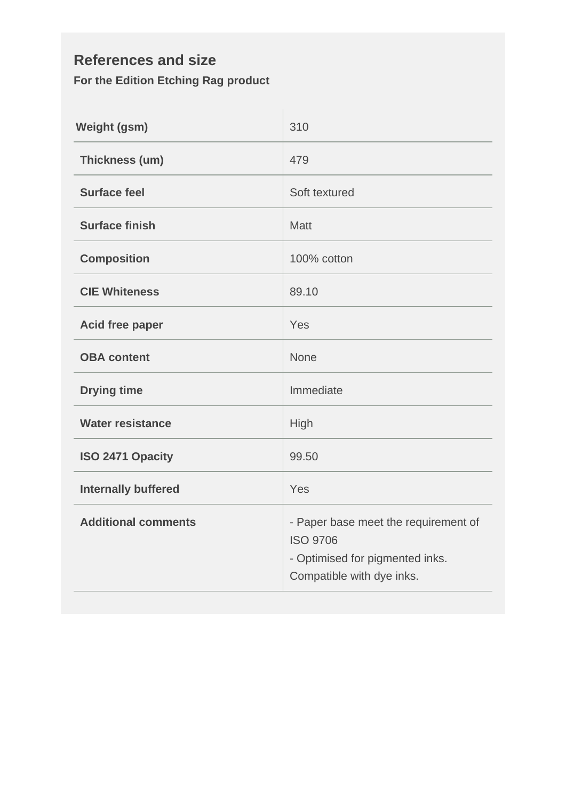#### **References and size For the Edition Etching Rag product**

| <b>Weight (gsm)</b>        | 310                                                                                                                     |
|----------------------------|-------------------------------------------------------------------------------------------------------------------------|
| Thickness (um)             | 479                                                                                                                     |
| <b>Surface feel</b>        | Soft textured                                                                                                           |
| <b>Surface finish</b>      | <b>Matt</b>                                                                                                             |
| <b>Composition</b>         | 100% cotton                                                                                                             |
| <b>CIE Whiteness</b>       | 89.10                                                                                                                   |
| <b>Acid free paper</b>     | Yes                                                                                                                     |
| <b>OBA</b> content         | <b>None</b>                                                                                                             |
| <b>Drying time</b>         | Immediate                                                                                                               |
| <b>Water resistance</b>    | High                                                                                                                    |
| ISO 2471 Opacity           | 99.50                                                                                                                   |
| <b>Internally buffered</b> | Yes                                                                                                                     |
| <b>Additional comments</b> | - Paper base meet the requirement of<br><b>ISO 9706</b><br>- Optimised for pigmented inks.<br>Compatible with dye inks. |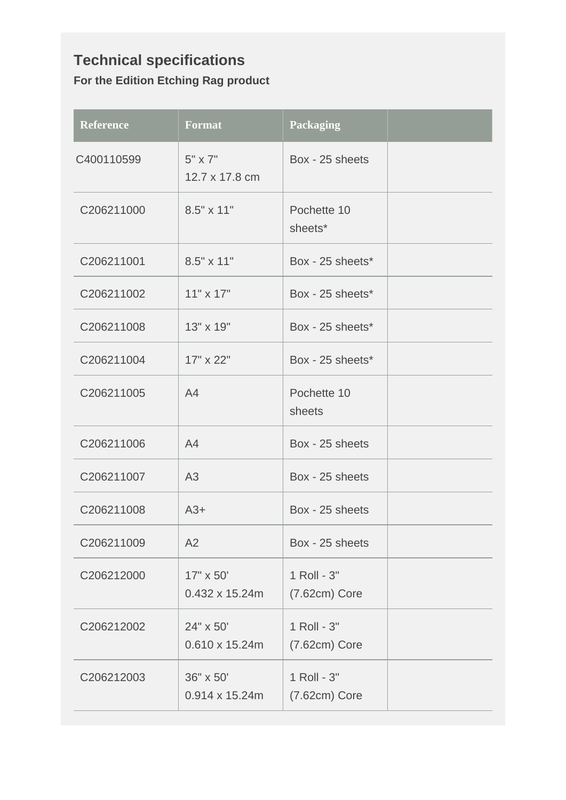### **Technical specifications For the Edition Etching Rag product**

| <b>Reference</b> | <b>Format</b>                       | <b>Packaging</b>               |  |
|------------------|-------------------------------------|--------------------------------|--|
| C400110599       | $5" \times 7"$<br>12.7 x 17.8 cm    | Box - 25 sheets                |  |
| C206211000       | $8.5" \times 11"$                   | Pochette 10<br>sheets*         |  |
| C206211001       | $8.5" \times 11"$                   | Box - 25 sheets*               |  |
| C206211002       | $11" \times 17"$                    | Box - 25 sheets*               |  |
| C206211008       | 13" x 19"                           | Box - 25 sheets*               |  |
| C206211004       | 17" x 22"                           | Box - 25 sheets*               |  |
| C206211005       | A4                                  | Pochette 10<br>sheets          |  |
| C206211006       | A4                                  | Box - 25 sheets                |  |
| C206211007       | A <sub>3</sub>                      | Box - 25 sheets                |  |
| C206211008       | $A3+$                               | Box - 25 sheets                |  |
| C206211009       | A2                                  | Box - 25 sheets                |  |
| C206212000       | 17" x 50'<br>0.432 x 15.24m         | 1 Roll - 3"<br>$(7.62cm)$ Core |  |
| C206212002       | 24" x 50'<br>$0.610 \times 15.24m$  | 1 Roll - 3"<br>$(7.62cm)$ Core |  |
| C206212003       | 36" x 50'<br>$0.914 \times 15.24$ m | 1 Roll - 3"<br>$(7.62cm)$ Core |  |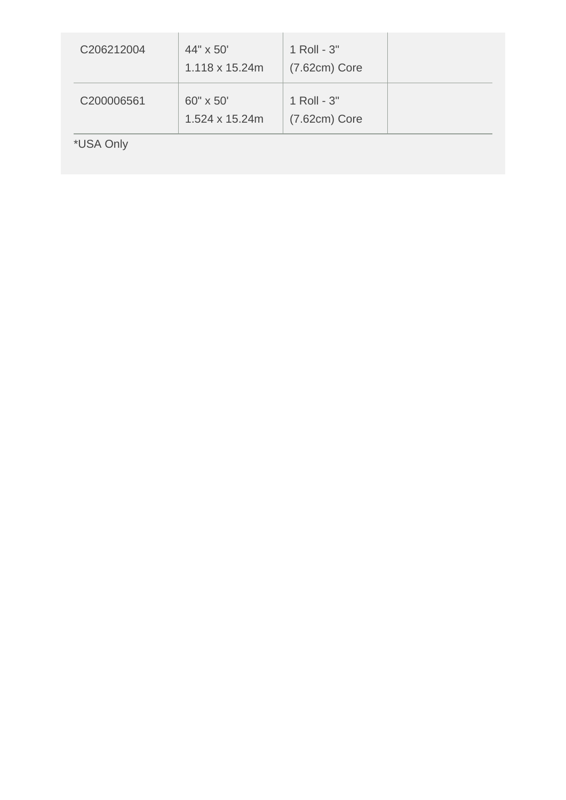| C206212004 | 44" x 50"<br>1.118 x 15.24m | 1 Roll - 3"<br>$(7.62cm)$ Core |  |
|------------|-----------------------------|--------------------------------|--|
| C200006561 | 60" x 50"<br>1.524 x 15.24m | 1 Roll - 3"<br>$(7.62cm)$ Core |  |
| *USA Only  |                             |                                |  |